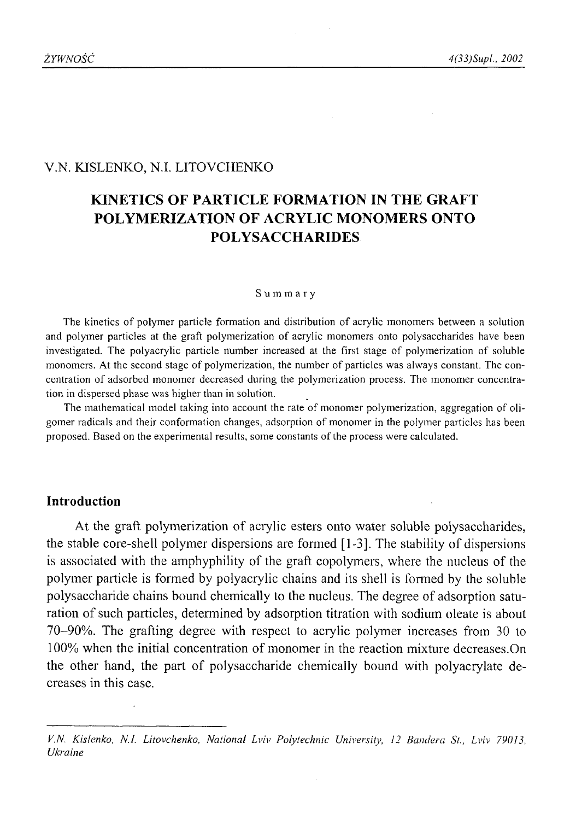### V.N. KISLENKO, N.I. LITOVCHENKO

# **KINETICS OF PARTICLE FORMATION IN THE GRAFT POLYMERIZATION OF ACRYLIC MONOMERS ONTO POLYSACCHARIDES**

#### **Summary**

The kinetics of polymer particle formation and distribution of acrylic monomers between a solution and polymer particles at the graft polymerization of acrylic monomers onto polysaccharides have been investigated. The polyacrylic particle number increased at the first stage of polymerization of soluble monomers. At the second stage of polymerization, the number of particles was always constant. The concentration of adsorbed monomer decreased during the polymerization process. The monomer concentration in dispersed phase was higher than in solution.

The mathematical model taking into account the rate of monomer polymerization, aggregation of oligomer radicals and their conformation changes, adsorption of monomer in the polymer particles has been proposed. Based on the experimental results, some constants of the process were calculated.

### **Introduction**

At the graft polymerization of acrylic esters onto water soluble polysaccharides, the stable core-shell polymer dispersions are formed [1-3]. The stability of dispersions is associated with the amphyphility of the graft copolymers, where the nucleus of the polymer particle is formed by polyacrylic chains and its shell is formed by the soluble polysaccharide chains bound chemically to the nucleus. The degree of adsorption saturation of such particles, determined by adsorption titration with sodium oleate is about 70-90%. The grafting degree with respect to acrylic polymer increases from 30 to 100% when the initial concentration of monomer in the reaction mixture decreases.On the other hand, the part of polysaccharide chemically bound with polyacrylate decreases in this case.

*V.N. Kislenko, N.I. Litovchenko, National Lviv Polytechnic University, 12 Bandera St., Lviv 79013, Ukraine*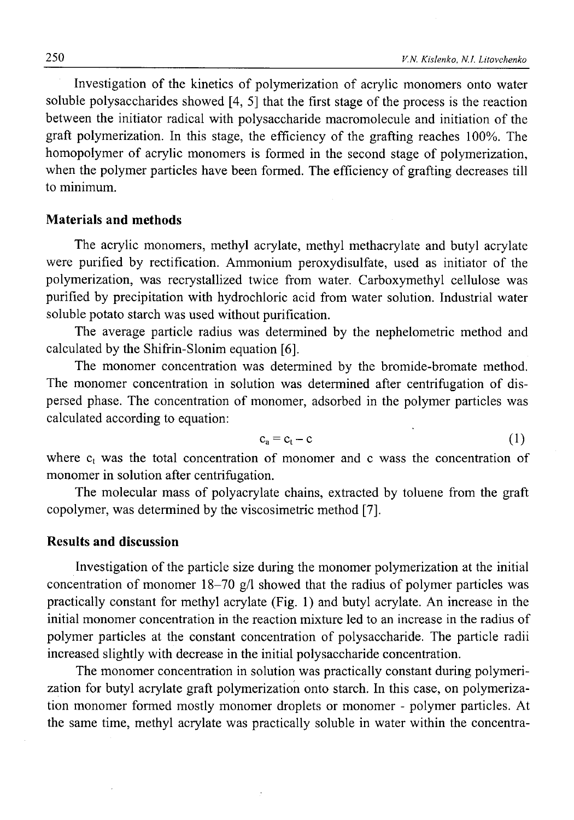Investigation of the kinetics of polymerization of acrylic monomers onto water soluble polysaccharides showed  $[4, 5]$  that the first stage of the process is the reaction between the initiator radical with polysaccharide macromolecule and initiation of the graft polymerization. In this stage, the efficiency of the grafting reaches 100%. The homopolymer of acrylic monomers is formed in the second stage of polymerization, when the polymer particles have been formed. The efficiency of grafting decreases till to minimum.

## **Materials and methods**

The acrylic monomers, methyl acrylate, methyl methacrylate and butyl acrylate were purified by rectification. Ammonium peroxydisulfate, used as initiator of the polymerization, was recrystallized twice from water. Carboxymethyl cellulose was purified by precipitation with hydrochloric acid from water solution. Industrial water soluble potato starch was used without purification.

The average particle radius was determined by the nephelometric method and calculated by the Shifrin-Slonim equation [6].

The monomer concentration was determined by the bromide-bromate method. The monomer concentration in solution was determined after centrifugation of dispersed phase. The concentration of monomer, adsorbed in the polymer particles was calculated according to equation:

$$
c_a = c_t - c \tag{1}
$$

where  $c_t$  was the total concentration of monomer and c wass the concentration of monomer in solution after centrifugation.

The molecular mass of polyacrylate chains, extracted by toluene from the graft copolymer, was determined by the viscosimetric method [7].

#### **Results and discussion**

Investigation of the particle size during the monomer polymerization at the initial concentration of monomer 18-70 g/1 showed that the radius of polymer particles was practically constant for methyl acrylate (Fig. 1) and butyl acrylate. An increase in the initial monomer concentration in the reaction mixture led to an increase in the radius of polymer particles at the constant concentration of polysaccharide. The particle radii increased slightly with decrease in the initial polysaccharide concentration.

The monomer concentration in solution was practically constant during polymerization for butyl acrylate graft polymerization onto starch. In this case, on polymerization monomer formed mostly monomer droplets or monomer - polymer particles. At the same time, methyl acrylate was practically soluble in water within the concentra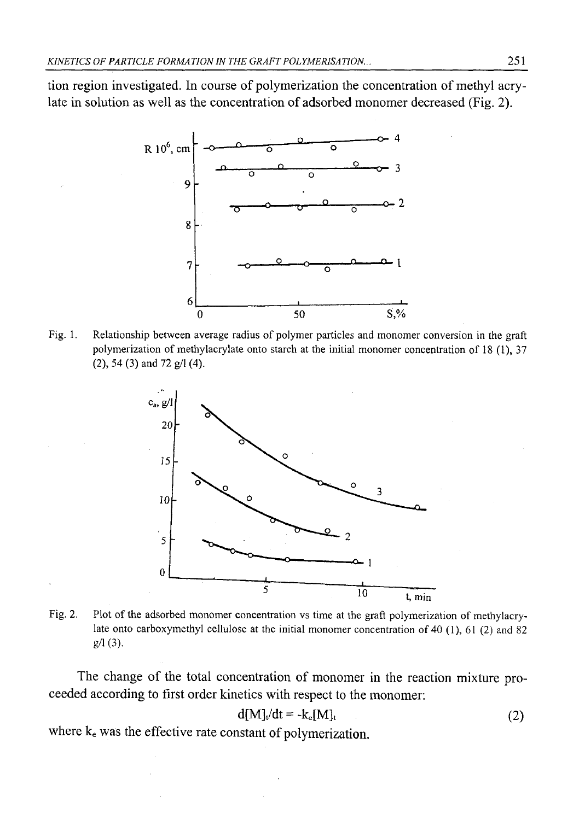tion region investigated. In course of polymerization the concentration of methyl acrylate in solution as well as the concentration of adsorbed monomer decreased (Fig. 2).



Fig. 1. Relationship between average radius of polymer particles and monomer conversion in the graft polymerization of methylacrylate onto starch at the initial monomer concentration of 18 (1), 37 (2), 54 (3) and 72 g/1 (4).



Fig. 2. Plot of the adsorbed monomer concentration vs time at the graft polymerization of methylacrylate onto carboxymethyl cellulose at the initial monomer concentration of 40 (1), 61 (2) and 82 g/1 (3).

The change of the total concentration of monomer in the reaction mixture proceeded according to first order kinetics with respect to the monomer:

$$
d[M]_t/dt = -k_e[M]_t \tag{2}
$$

where  $k_e$  was the effective rate constant of polymerization.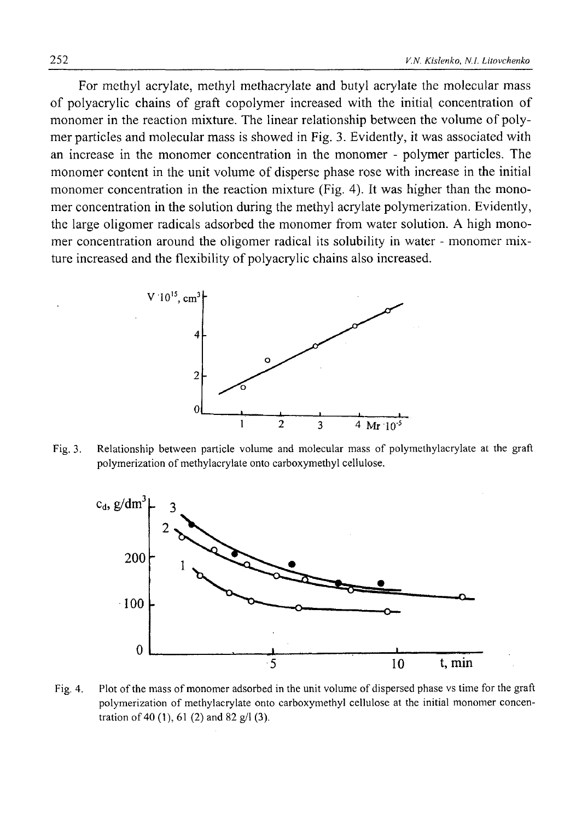For methyl acrylate, methyl methacrylate and butyl acrylate the molecular mass of polyacrylic chains of graft copolymer increased with the initial concentration of monomer in the reaction mixture. The linear relationship between the volume of polymer particles and molecular mass is showed in Fig. 3. Evidently, it was associated with an increase in the monomer concentration in the monomer - polymer particles. The monomer content in the unit volume of disperse phase rose with increase in the initial monomer concentration in the reaction mixture (Fig. 4). It was higher than the monomer concentration in the solution during the methyl acrylate polymerization. Evidently, the large oligomer radicals adsorbed the monomer from water solution. A high monomer concentration around the oligomer radical its solubility in water - monomer mixture increased and the flexibility of polyacrylic chains also increased.



Fig. 3. Relationship between particle volume and molecular mass of polymethylacrylate at the graft polymerization of methylacrylate onto carboxymethyl cellulose.



Fig. 4. Plot of the mass of monomer adsorbed in the unit volume of dispersed phase vs time for the graft polymerization of methylacrylate onto carboxymethyl cellulose at the initial monomer concentration of 40 (1), 61 (2) and 82  $g/1$  (3).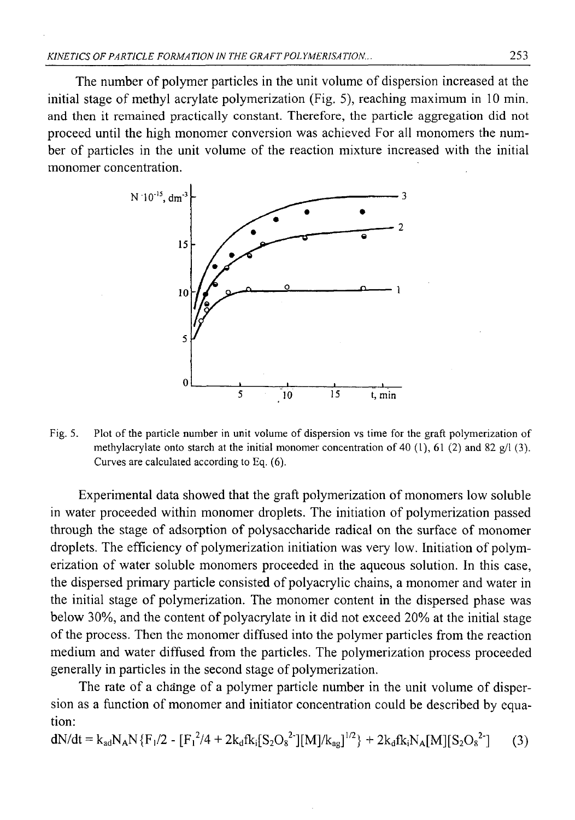The number of polymer particles in the unit volume of dispersion increased at the initial stage of methyl acrylate polymerization (Fig. 5), reaching maximum in 10 min. and then it remained practically constant. Therefore, the particle aggregation did not proceed until the high monomer conversion was achieved For all monomers the number of particles in the unit volume of the reaction mixture increased with the initial monomer concentration.



Fig. 5. Plot of the particle number in unit volume of dispersion vs time for the graft polymerization of methylacrylate onto starch at the initial monomer concentration of 40 (1), 61 (2) and 82  $g/1$  (3). Curves are calculated according to Eq. (6).

Experimental data showed that the graft polymerization of monomers low soluble in water proceeded within monomer droplets. The initiation of polymerization passed through the stage of adsorption of polysaccharide radical on the surface of monomer droplets. The efficiency of polymerization initiation was very low. Initiation of polymerization of water soluble monomers proceeded in the aqueous solution. In this case, the dispersed primary particle consisted of polyacrylic chains, a monomer and water in the initial stage of polymerization. The monomer content in the dispersed phase was below 30%, and the content of polyacrylate in it did not exceed 20% at the initial stage of the process. Then the monomer diffused into the polymer particles from the reaction medium and water diffused from the particles. The polymerization process proceeded generally in particles in the second stage of polymerization.

The rate of a change of a polymer particle number in the unit volume of dispersion as a function of monomer and initiator concentration could be described by equation:

$$
dN/dt = k_{ad}N_A N \{F_1/2 - [F_1^2/4 + 2k_d f k_i [S_2O_8^2\textsuperscript{1}][M]/k_{ag}]^{1/2}\} + 2k_d f k_i N_A [M][S_2O_8^2\textsuperscript{1}](3)
$$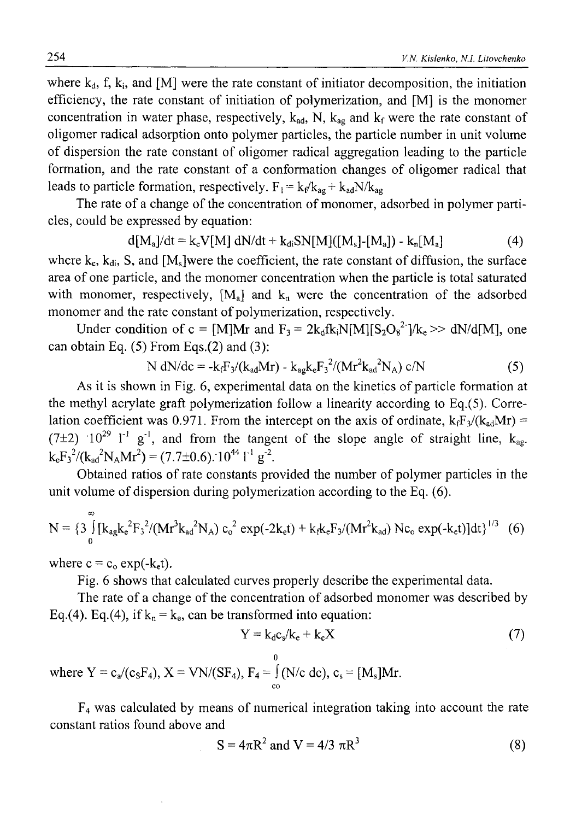where  $k_d$ , f,  $k_i$ , and [M] were the rate constant of initiator decomposition, the initiation efficiency, the rate constant of initiation of polymerization, and [M] is the monomer concentration in water phase, respectively,  $k_{ad}$ , N,  $k_{ag}$  and  $k_f$  were the rate constant of oligomer radical adsorption onto polymer particles, the particle number in unit volume of dispersion the rate constant of oligomer radical aggregation leading to the particle formation, and the rate constant of a conformation changes of oligomer radical that leads to particle formation, respectively.  $F_1 = k_f/k_{ag} + k_{ad}N/k_{ag}$ 

The rate of a change of the concentration of monomer, adsorbed in polymer particles, could be expressed by equation:

$$
d[M_a]/dt = k_cV[M] dN/dt + k_{di}SN[M]([M_s]-[M_a]) - k_n[M_a]
$$
 (4)

where  $k_c$ ,  $k_{di}$ , S, and  $[M_s]$ were the coefficient, the rate constant of diffusion, the surface area of one particle, and the monomer concentration when the particle is total saturated with monomer, respectively,  $[M_a]$  and  $k_n$  were the concentration of the adsorbed monomer and the rate constant of polymerization, respectively.

Under condition of c = [M]Mr and  $F_3 = 2k_dfk_iN[M][S_2O_8^2]/k_e \gg dN/d[M]$ , one can obtain Eq.  $(5)$  From Eqs. $(2)$  and  $(3)$ :

N dN/de = 
$$
-k_f F_3/(k_{ad}Mr) - k_{ag}k_eF_3^2/(Mr^2k_{ad}^2N_A) c/N
$$
 (5)

As it is shown in Fig. 6, experimental data on the kinetics of particle formation at the methyl acrylate graft polymerization follow a linearity according to Eq.(5). Correlation coefficient was 0.971. From the intercept on the axis of ordinate,  $k_fF_3/(k_{ad}Mr)$  =  $(7\pm2)$  10<sup>29</sup> 1<sup>-1</sup> g<sup>-1</sup>, and from the tangent of the slope angle of straight line, k<sub>ag</sub>.  $k_{e}F_{3}^{2}/(k_{ad}^{2}N_{A}Mr^{2}) = (7.7 \pm 0.6).10^{44} l^{1} g^{-2}$ .

Obtained ratios of rate constants provided the number of polymer particles in the unit volume of dispersion during polymerization according to the Eq. (6).

$$
N = \{3 \int_{0}^{\infty} [k_{ag}k_{e}^{2}F_{3}^{2}/(Mr^{3}k_{ad}^{2}N_{A}) c_{o}^{2} exp(-2k_{e}t) + k_{f}k_{e}F_{3}/(Mr^{2}k_{ad}) Nc_{o} exp(-k_{e}t)]dt \}^{1/3} (6)
$$

where  $c = c_0 \exp(-k_{e}t)$ .

Fig. 6 shows that calculated curves properly describe the experimental data.

The rate of a change of the concentration of adsorbed monomer was described by Eq.(4). Eq.(4), if  $k_n = k_e$ , can be transformed into equation:

$$
Y = k_d c_s / k_e + k_c X \tag{7}
$$

0 where  $Y = c_a/(c_sF_4)$ ,  $X = VN/(SF_4)$ ,  $F_4 = J(N/c \text{ dc})$ ,  $c_s = [M_s]Mr$ .

F4 was calculated by means of numerical integration taking into account the rate constant ratios found above and

$$
S = 4\pi R^2 \text{ and } V = 4/3 \pi R^3 \tag{8}
$$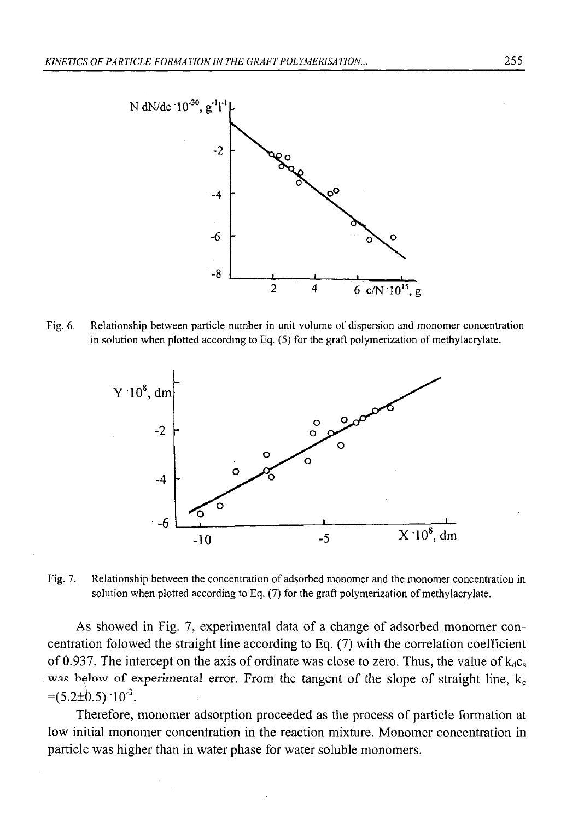

Fig. 6. Relationship between particle number in unit volume of dispersion and monomer concentration in solution when plotted according to Eq. (5) for the graft polymerization of methylacrylate.



Fig. 7. Relationship between the concentration of adsorbed monomer and the monomer concentration in solution when plotted according to Eq. (7) for the graft polymerization of methylacrylate.

As showed in Fig. 7, experimental data of a change of adsorbed monomer concentration folowed the straight line according to Eq. (7) with the correlation coefficient of 0.937. The intercept on the axis of ordinate was close to zero. Thus, the value of  $k_{\text{dc}}$ was below of experimental error. From the tangent of the slope of straight line,  $k_c$  $=(5.2\pm0.5)$   $10^{-3}$ .

Therefore, monomer adsorption proceeded as the process of particle formation at low initial monomer concentration in the reaction mixture. Monomer concentration in particle was higher than in water phase for water soluble monomers.